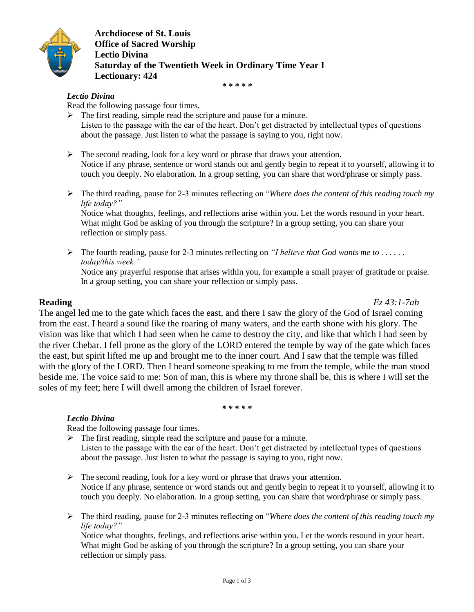

**Archdiocese of St. Louis Office of Sacred Worship Lectio Divina Saturday of the Twentieth Week in Ordinary Time Year I Lectionary: 424**

*\* \* \* \* \**

# *Lectio Divina*

Read the following passage four times.

- $\triangleright$  The first reading, simple read the scripture and pause for a minute. Listen to the passage with the ear of the heart. Don't get distracted by intellectual types of questions about the passage. Just listen to what the passage is saying to you, right now.
- $\triangleright$  The second reading, look for a key word or phrase that draws your attention. Notice if any phrase, sentence or word stands out and gently begin to repeat it to yourself, allowing it to touch you deeply. No elaboration. In a group setting, you can share that word/phrase or simply pass.
- The third reading, pause for 2-3 minutes reflecting on "*Where does the content of this reading touch my life today?"*

Notice what thoughts, feelings, and reflections arise within you. Let the words resound in your heart. What might God be asking of you through the scripture? In a group setting, you can share your reflection or simply pass.

 $\triangleright$  The fourth reading, pause for 2-3 minutes reflecting on *"I believe that God wants me to ..... today/this week."* Notice any prayerful response that arises within you, for example a small prayer of gratitude or praise. In a group setting, you can share your reflection or simply pass.

**Reading** *Ez 43:1-7ab*

The angel led me to the gate which faces the east, and there I saw the glory of the God of Israel coming from the east. I heard a sound like the roaring of many waters, and the earth shone with his glory. The vision was like that which I had seen when he came to destroy the city, and like that which I had seen by the river Chebar. I fell prone as the glory of the LORD entered the temple by way of the gate which faces the east, but spirit lifted me up and brought me to the inner court. And I saw that the temple was filled with the glory of the LORD. Then I heard someone speaking to me from the temple, while the man stood beside me. The voice said to me: Son of man, this is where my throne shall be, this is where I will set the soles of my feet; here I will dwell among the children of Israel forever.

*\* \* \* \* \**

# *Lectio Divina*

Read the following passage four times.

- $\triangleright$  The first reading, simple read the scripture and pause for a minute. Listen to the passage with the ear of the heart. Don't get distracted by intellectual types of questions about the passage. Just listen to what the passage is saying to you, right now.
- $\triangleright$  The second reading, look for a key word or phrase that draws your attention. Notice if any phrase, sentence or word stands out and gently begin to repeat it to yourself, allowing it to touch you deeply. No elaboration. In a group setting, you can share that word/phrase or simply pass.
- The third reading, pause for 2-3 minutes reflecting on "*Where does the content of this reading touch my life today?"*

Notice what thoughts, feelings, and reflections arise within you. Let the words resound in your heart. What might God be asking of you through the scripture? In a group setting, you can share your reflection or simply pass.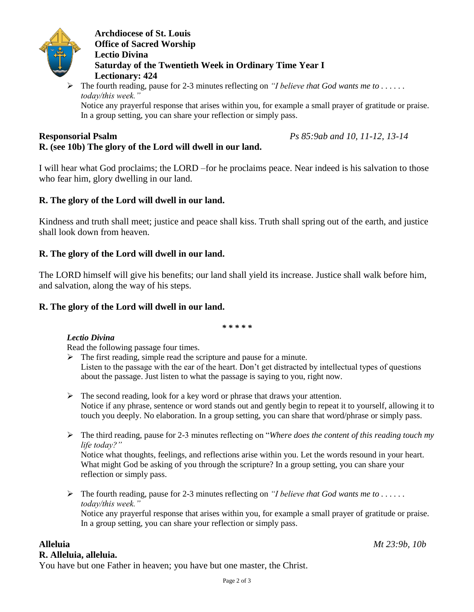

**Archdiocese of St. Louis Office of Sacred Worship Lectio Divina Saturday of the Twentieth Week in Ordinary Time Year I Lectionary: 424**

 The fourth reading, pause for 2-3 minutes reflecting on *"I believe that God wants me to . . . . . . today/this week."*

Notice any prayerful response that arises within you, for example a small prayer of gratitude or praise. In a group setting, you can share your reflection or simply pass.

### **Responsorial Psalm** *Ps 85:9ab and 10, 11-12, 13-14* **R. (see 10b) The glory of the Lord will dwell in our land.**

I will hear what God proclaims; the LORD –for he proclaims peace. Near indeed is his salvation to those who fear him, glory dwelling in our land.

# **R. The glory of the Lord will dwell in our land.**

Kindness and truth shall meet; justice and peace shall kiss. Truth shall spring out of the earth, and justice shall look down from heaven.

# **R. The glory of the Lord will dwell in our land.**

The LORD himself will give his benefits; our land shall yield its increase. Justice shall walk before him, and salvation, along the way of his steps.

# **R. The glory of the Lord will dwell in our land.**

*\* \* \* \* \**

# *Lectio Divina*

Read the following passage four times.

- $\triangleright$  The first reading, simple read the scripture and pause for a minute. Listen to the passage with the ear of the heart. Don't get distracted by intellectual types of questions about the passage. Just listen to what the passage is saying to you, right now.
- $\triangleright$  The second reading, look for a key word or phrase that draws your attention. Notice if any phrase, sentence or word stands out and gently begin to repeat it to yourself, allowing it to touch you deeply. No elaboration. In a group setting, you can share that word/phrase or simply pass.
- The third reading, pause for 2-3 minutes reflecting on "*Where does the content of this reading touch my life today?"*

Notice what thoughts, feelings, and reflections arise within you. Let the words resound in your heart. What might God be asking of you through the scripture? In a group setting, you can share your reflection or simply pass.

 $\triangleright$  The fourth reading, pause for 2-3 minutes reflecting on *"I believe that God wants me to ..... today/this week."* Notice any prayerful response that arises within you, for example a small prayer of gratitude or praise. In a group setting, you can share your reflection or simply pass.

# **R. Alleluia, alleluia.**

You have but one Father in heaven; you have but one master, the Christ.

**Alleluia** *Mt 23:9b, 10b*